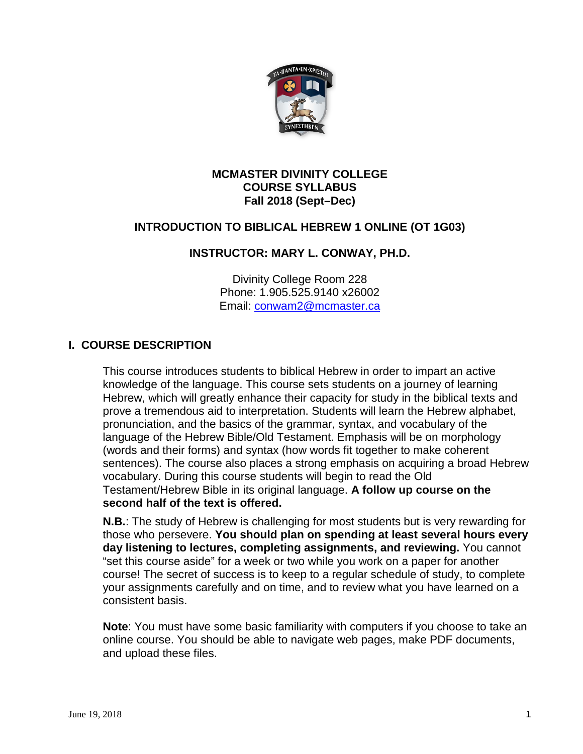

### **MCMASTER DIVINITY COLLEGE COURSE SYLLABUS Fall 2018 (Sept–Dec)**

# **INTRODUCTION TO BIBLICAL HEBREW 1 ONLINE (OT 1G03)**

### **INSTRUCTOR: MARY L. CONWAY, PH.D.**

Divinity College Room 228 Phone: 1.905.525.9140 x26002 Email: [conwam2@mcmaster.ca](mailto:conwam2@mcmaster.ca)

### **I. COURSE DESCRIPTION**

This course introduces students to biblical Hebrew in order to impart an active knowledge of the language. This course sets students on a journey of learning Hebrew, which will greatly enhance their capacity for study in the biblical texts and prove a tremendous aid to interpretation. Students will learn the Hebrew alphabet, pronunciation, and the basics of the grammar, syntax, and vocabulary of the language of the Hebrew Bible/Old Testament. Emphasis will be on morphology (words and their forms) and syntax (how words fit together to make coherent sentences). The course also places a strong emphasis on acquiring a broad Hebrew vocabulary. During this course students will begin to read the Old Testament/Hebrew Bible in its original language. **A follow up course on the second half of the text is offered.**

**N.B.**: The study of Hebrew is challenging for most students but is very rewarding for those who persevere. **You should plan on spending at least several hours every day listening to lectures, completing assignments, and reviewing.** You cannot "set this course aside" for a week or two while you work on a paper for another course! The secret of success is to keep to a regular schedule of study, to complete your assignments carefully and on time, and to review what you have learned on a consistent basis.

**Note**: You must have some basic familiarity with computers if you choose to take an online course. You should be able to navigate web pages, make PDF documents, and upload these files.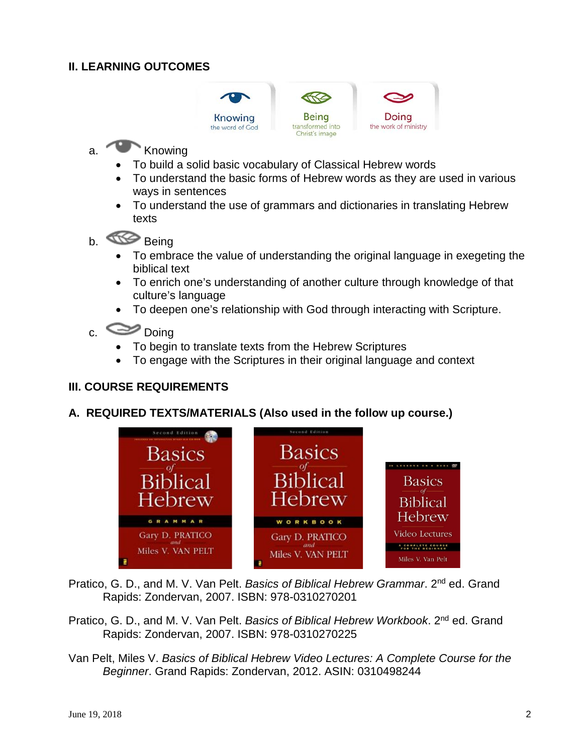## **II. LEARNING OUTCOMES**



# a. Knowing

- To build a solid basic vocabulary of Classical Hebrew words
- To understand the basic forms of Hebrew words as they are used in various ways in sentences
- To understand the use of grammars and dictionaries in translating Hebrew texts
- b. Being
	- To embrace the value of understanding the original language in exegeting the biblical text
	- To enrich one's understanding of another culture through knowledge of that culture's language
	- To deepen one's relationship with God through interacting with Scripture.

# c.  $\bullet$  Doing

- To begin to translate texts from the Hebrew Scriptures
- To engage with the Scriptures in their original language and context

## **III. COURSE REQUIREMENTS**

### **A. REQUIRED TEXTS/MATERIALS (Also used in the follow up course.)**



Pratico, G. D., and M. V. Van Pelt. *Basics of Biblical Hebrew Grammar*. 2nd ed. Grand Rapids: Zondervan, 2007. ISBN: 978-0310270201

- Pratico, G. D., and M. V. Van Pelt. *Basics of Biblical Hebrew Workbook*. 2nd ed. Grand Rapids: Zondervan, 2007. ISBN: 978-0310270225
- Van Pelt, Miles V. *Basics of Biblical Hebrew Video Lectures: A Complete Course for the Beginner*. Grand Rapids: Zondervan, 2012. ASIN: 0310498244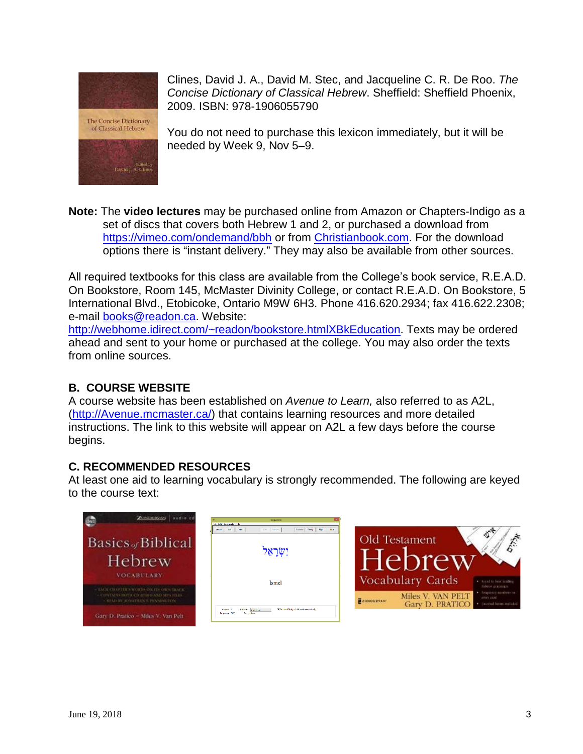



Clines, David J. A., David M. Stec, and Jacqueline C. R. De Roo. *The Concise Dictionary of Classical Hebrew*. Sheffield: Sheffield Phoenix, 2009. ISBN: 978-1906055790

You do not need to purchase this lexicon immediately, but it will be needed by Week 9, Nov 5–9.

**Note:** The **video lectures** may be purchased online from Amazon or Chapters-Indigo as a set of discs that covers both Hebrew 1 and 2, or purchased a download from <https://vimeo.com/ondemand/bbh> or from [Christianbook.com.](https://www.christianbook.com/biblical-hebrew-lectures-complete-course-beginner/9780310498247/pd/498247) For the download options there is "instant delivery." They may also be available from other sources.

All required textbooks for this class are available from the College's book service, R.E.A.D. On Bookstore, Room 145, McMaster Divinity College, or contact R.E.A.D. On Bookstore, 5 International Blvd., Etobicoke, Ontario M9W 6H3. Phone 416.620.2934; fax 416.622.2308; e-mail [books@readon.ca.](mailto:books@readon.ca) Website:

[http://webhome.idirect.com/~readon/bookstore.htmlXBkEducation.](http://webhome.idirect.com/%7Ereadon/bookstore.html#BkEducation) Texts may be ordered ahead and sent to your home or purchased at the college. You may also order the texts from online sources.

# **B. COURSE WEBSITE**

A course website has been established on *Avenue to Learn,* also referred to as A2L, [\(http://Avenue.mcmaster.ca/\)](http://avenue.mcmaster.ca/) that contains learning resources and more detailed instructions. The link to this website will appear on A2L a few days before the course begins.

# **C. RECOMMENDED RESOURCES**

At least one aid to learning vocabulary is strongly recommended. The following are keyed to the course text:

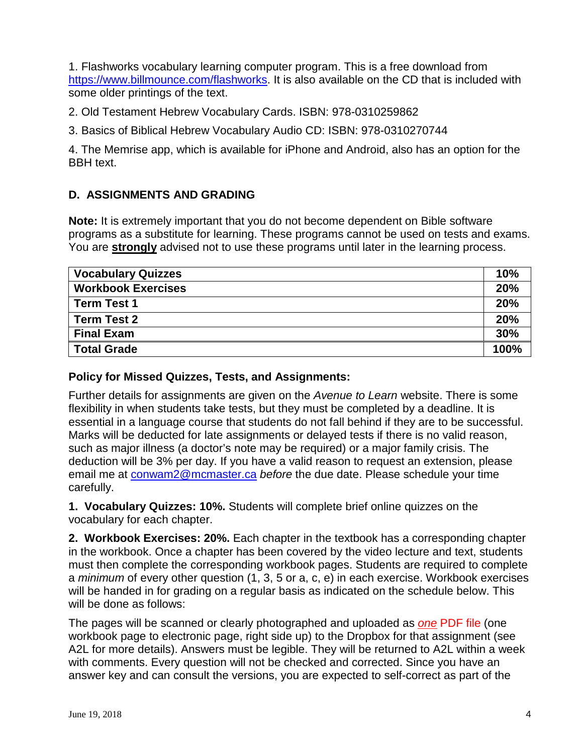1. Flashworks vocabulary learning computer program. This is a free download from [https://www.billmounce.com/flashworks.](https://www.billmounce.com/flashworks) It is also available on the CD that is included with some older printings of the text.

2. Old Testament Hebrew Vocabulary Cards. ISBN: 978-0310259862

3. Basics of Biblical Hebrew Vocabulary Audio CD: ISBN: 978-0310270744

4. The Memrise app, which is available for iPhone and Android, also has an option for the BBH text.

# **D. ASSIGNMENTS AND GRADING**

**Note:** It is extremely important that you do not become dependent on Bible software programs as a substitute for learning. These programs cannot be used on tests and exams. You are **strongly** advised not to use these programs until later in the learning process.

| <b>Vocabulary Quizzes</b> | <b>10%</b> |
|---------------------------|------------|
| <b>Workbook Exercises</b> | <b>20%</b> |
| <b>Term Test 1</b>        | <b>20%</b> |
| <b>Term Test 2</b>        | 20%        |
| <b>Final Exam</b>         | 30%        |
| <b>Total Grade</b>        | 100%       |

### **Policy for Missed Quizzes, Tests, and Assignments:**

Further details for assignments are given on the *Avenue to Learn* website. There is some flexibility in when students take tests, but they must be completed by a deadline. It is essential in a language course that students do not fall behind if they are to be successful. Marks will be deducted for late assignments or delayed tests if there is no valid reason, such as major illness (a doctor's note may be required) or a major family crisis. The deduction will be 3% per day. If you have a valid reason to request an extension, please email me at [conwam2@mcmaster.ca](mailto:conwam2@mcmaster.ca) *before* the due date. Please schedule your time carefully.

**1. Vocabulary Quizzes: 10%.** Students will complete brief online quizzes on the vocabulary for each chapter.

**2. Workbook Exercises: 20%.** Each chapter in the textbook has a corresponding chapter in the workbook. Once a chapter has been covered by the video lecture and text, students must then complete the corresponding workbook pages. Students are required to complete a *minimum* of every other question (1, 3, 5 or a, c, e) in each exercise. Workbook exercises will be handed in for grading on a regular basis as indicated on the schedule below. This will be done as follows:

The pages will be scanned or clearly photographed and uploaded as *one* PDF file (one workbook page to electronic page, right side up) to the Dropbox for that assignment (see A2L for more details). Answers must be legible. They will be returned to A2L within a week with comments. Every question will not be checked and corrected. Since you have an answer key and can consult the versions, you are expected to self-correct as part of the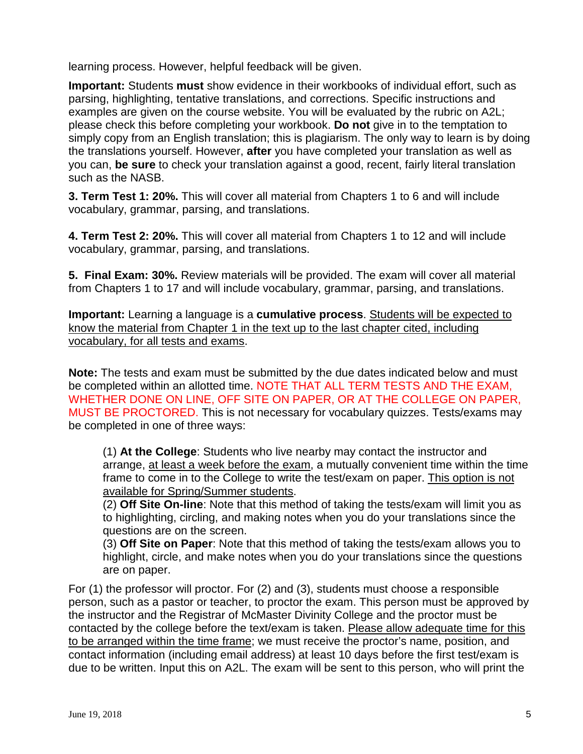learning process. However, helpful feedback will be given.

**Important:** Students **must** show evidence in their workbooks of individual effort, such as parsing, highlighting, tentative translations, and corrections. Specific instructions and examples are given on the course website. You will be evaluated by the rubric on A2L; please check this before completing your workbook. **Do not** give in to the temptation to simply copy from an English translation; this is plagiarism. The only way to learn is by doing the translations yourself. However, **after** you have completed your translation as well as you can, **be sure** to check your translation against a good, recent, fairly literal translation such as the NASB.

**3. Term Test 1: 20%.** This will cover all material from Chapters 1 to 6 and will include vocabulary, grammar, parsing, and translations.

**4. Term Test 2: 20%.** This will cover all material from Chapters 1 to 12 and will include vocabulary, grammar, parsing, and translations.

**5. Final Exam: 30%.** Review materials will be provided. The exam will cover all material from Chapters 1 to 17 and will include vocabulary, grammar, parsing, and translations.

**Important:** Learning a language is a **cumulative process**. Students will be expected to know the material from Chapter 1 in the text up to the last chapter cited, including vocabulary, for all tests and exams.

**Note:** The tests and exam must be submitted by the due dates indicated below and must be completed within an allotted time. NOTE THAT ALL TERM TESTS AND THE EXAM, WHETHER DONE ON LINE, OFF SITE ON PAPER, OR AT THE COLLEGE ON PAPER, MUST BE PROCTORED. This is not necessary for vocabulary quizzes. Tests/exams may be completed in one of three ways:

(1) **At the College**: Students who live nearby may contact the instructor and arrange, at least a week before the exam, a mutually convenient time within the time frame to come in to the College to write the test/exam on paper. This option is not available for Spring/Summer students.

(2) **Off Site On-line**: Note that this method of taking the tests/exam will limit you as to highlighting, circling, and making notes when you do your translations since the questions are on the screen.

(3) **Off Site on Paper**: Note that this method of taking the tests/exam allows you to highlight, circle, and make notes when you do your translations since the questions are on paper.

For (1) the professor will proctor. For (2) and (3), students must choose a responsible person, such as a pastor or teacher, to proctor the exam. This person must be approved by the instructor and the Registrar of McMaster Divinity College and the proctor must be contacted by the college before the text/exam is taken. Please allow adequate time for this to be arranged within the time frame; we must receive the proctor's name, position, and contact information (including email address) at least 10 days before the first test/exam is due to be written. Input this on A2L. The exam will be sent to this person, who will print the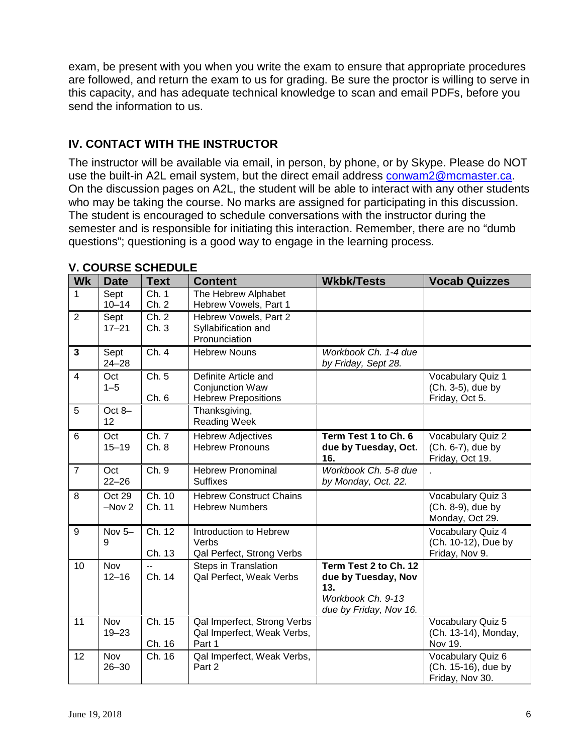exam, be present with you when you write the exam to ensure that appropriate procedures are followed, and return the exam to us for grading. Be sure the proctor is willing to serve in this capacity, and has adequate technical knowledge to scan and email PDFs, before you send the information to us.

# **IV. CONTACT WITH THE INSTRUCTOR**

The instructor will be available via email, in person, by phone, or by Skype. Please do NOT use the built-in A2L email system, but the direct email address [conwam2@mcmaster.ca.](mailto:conwam2@mcmaster.ca) On the discussion pages on A2L, the student will be able to interact with any other students who may be taking the course. No marks are assigned for participating in this discussion. The student is encouraged to schedule conversations with the instructor during the semester and is responsible for initiating this interaction. Remember, there are no "dumb questions"; questioning is a good way to engage in the learning process.

| <b>Wk</b>       | <b>Date</b>       | <b>Text</b>      | <b>Content</b>                                                               | <b>Wkbk/Tests</b>                                                                                  | <b>Vocab Quizzes</b>                                        |
|-----------------|-------------------|------------------|------------------------------------------------------------------------------|----------------------------------------------------------------------------------------------------|-------------------------------------------------------------|
| 1               | Sept<br>$10 - 14$ | Ch. 1<br>Ch. 2   | The Hebrew Alphabet<br>Hebrew Vowels, Part 1                                 |                                                                                                    |                                                             |
| $\overline{2}$  | Sept<br>$17 - 21$ | Ch. 2<br>Ch. 3   | Hebrew Vowels, Part 2<br>Syllabification and<br>Pronunciation                |                                                                                                    |                                                             |
| $\mathbf{3}$    | Sept<br>$24 - 28$ | Ch.4             | <b>Hebrew Nouns</b>                                                          | Workbook Ch. 1-4 due<br>by Friday, Sept 28.                                                        |                                                             |
| $\overline{4}$  | Oct<br>$1 - 5$    | Ch. 5<br>Ch. 6   | Definite Article and<br><b>Conjunction Waw</b><br><b>Hebrew Prepositions</b> |                                                                                                    | Vocabulary Quiz 1<br>(Ch. 3-5), due by<br>Friday, Oct 5.    |
| 5               | Oct $8-$<br>12    |                  | Thanksgiving,<br><b>Reading Week</b>                                         |                                                                                                    |                                                             |
| $6\phantom{1}6$ | Oct<br>$15 - 19$  | Ch. 7<br>Ch.8    | <b>Hebrew Adjectives</b><br><b>Hebrew Pronouns</b>                           | Term Test 1 to Ch. 6<br>due by Tuesday, Oct.<br>16.                                                | Vocabulary Quiz 2<br>(Ch. 6-7), due by<br>Friday, Oct 19.   |
| $\overline{7}$  | Oct<br>$22 - 26$  | Ch. 9            | <b>Hebrew Pronominal</b><br><b>Suffixes</b>                                  | Workbook Ch. 5-8 due<br>by Monday, Oct. 22.                                                        |                                                             |
| 8               | Oct 29<br>$-Nov2$ | Ch. 10<br>Ch. 11 | <b>Hebrew Construct Chains</b><br><b>Hebrew Numbers</b>                      |                                                                                                    | Vocabulary Quiz 3<br>(Ch. 8-9), due by<br>Monday, Oct 29.   |
| 9               | Nov $5-$<br>9     | Ch. 12<br>Ch. 13 | Introduction to Hebrew<br>Verbs<br>Qal Perfect, Strong Verbs                 |                                                                                                    | Vocabulary Quiz 4<br>(Ch. 10-12), Due by<br>Friday, Nov 9.  |
| 10              | Nov<br>$12 - 16$  | Ch. 14           | <b>Steps in Translation</b><br>Qal Perfect, Weak Verbs                       | Term Test 2 to Ch. 12<br>due by Tuesday, Nov<br>13.<br>Workbook Ch. 9-13<br>due by Friday, Nov 16. |                                                             |
| 11              | Nov<br>$19 - 23$  | Ch. 15<br>Ch. 16 | Qal Imperfect, Strong Verbs<br>Qal Imperfect, Weak Verbs,<br>Part 1          |                                                                                                    | Vocabulary Quiz 5<br>(Ch. 13-14), Monday,<br>Nov 19.        |
| 12              | Nov<br>$26 - 30$  | Ch. 16           | Qal Imperfect, Weak Verbs,<br>Part 2                                         |                                                                                                    | Vocabulary Quiz 6<br>(Ch. 15-16), due by<br>Friday, Nov 30. |

### **V. COURSE SCHEDULE**